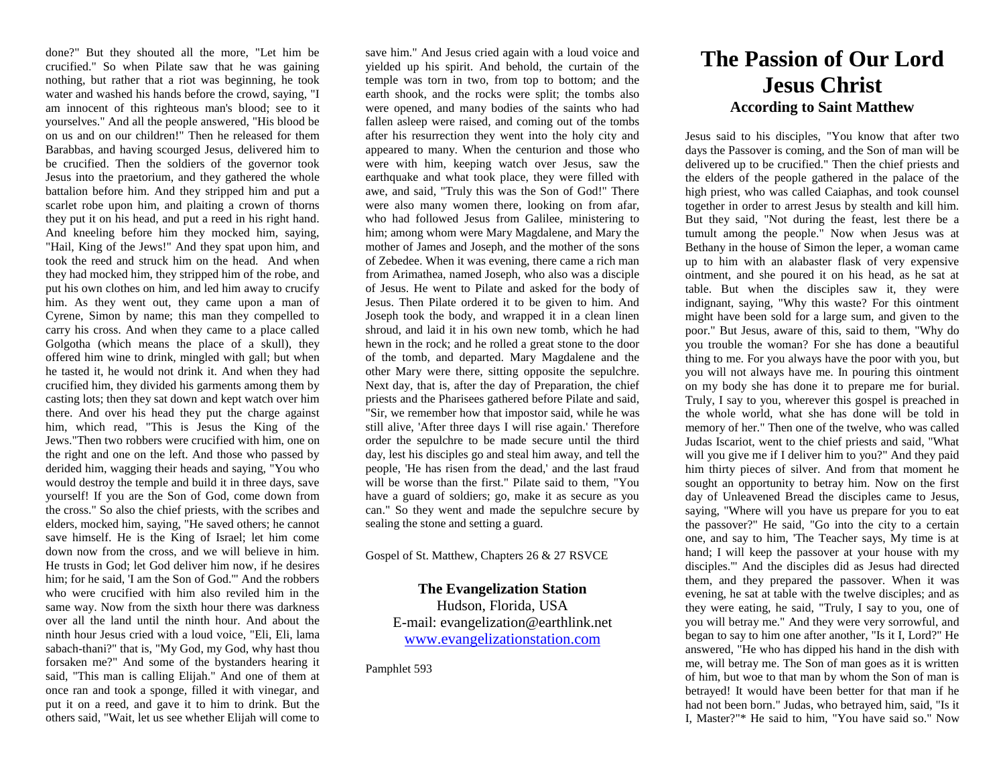done?" But they shouted all the more, "Let him be crucified." So when Pilate saw that he was gaining nothing, but rather that a riot was beginning, he took water and washed his hands before the crowd, saying, "I am innocent of this righteous man's blood; see to it yourselves." And all the people answered, "His blood be on us and on our children!" Then he released for them Barabbas, and having scourged Jesus, delivered him to be crucified. Then the soldiers of the governor took Jesus into the praetorium, and they gathered the whole battalion before him. And they stripped him and put a scarlet robe upon him, and plaiting a crown of thorns they put it on his head, and put a reed in his right hand. And kneeling before him they mocked him, saying, "Hail, King of the Jews!" And they spat upon him, and took the reed and struck him on the head. And when they had mocked him, they stripped him of the robe, and put his own clothes on him, and led him away to crucify him. As they went out, they came upon a man of Cyrene, Simon by name; this man they compelled to carry his cross. And when they came to a place called Golgotha (which means the place of a skull), they offered him wine to drink, mingled with gall; but when he tasted it, he would not drink it. And when they had crucified him, they divided his garments among them by casting lots; then they sat down and kept watch over him there. And over his head they put the charge against him, which read, "This is Jesus the King of the Jews."Then two robbers were crucified with him, one on the right and one on the left. And those who passed by derided him, wagging their heads and saying, "You who would destroy the temple and build it in three days, save yourself! If you are the Son of God, come down from the cross." So also the chief priests, with the scribes and elders, mocked him, saying, "He saved others; he cannot save himself. He is the King of Israel; let him come down now from the cross, and we will believe in him. He trusts in God; let God deliver him now, if he desires him; for he said. T am the Son of God." And the robbers who were crucified with him also reviled him in the same way. Now from the sixth hour there was darkness over all the land until the ninth hour. And about the ninth hour Jesus cried with a loud voice, "Eli, Eli, lama sabach-thani?" that is, "My God, my God, why hast thou forsaken me?" And some of the bystanders hearing it said, "This man is calling Elijah." And one of them at once ran and took a sponge, filled it with vinegar, and put it on a reed, and gave it to him to drink. But the others said, "Wait, let us see whether Elijah will come to

save him." And Jesus cried again with a loud voice and yielded up his spirit. And behold, the curtain of the temple was torn in two, from top to bottom; and the earth shook, and the rocks were split; the tombs also were opened, and many bodies of the saints who had fallen asleep were raised, and coming out of the tombs after his resurrection they went into the holy city and appeared to many. When the centurion and those who were with him, keeping watch over Jesus, saw the earthquake and what took place, they were filled with awe, and said, "Truly this was the Son of God!" There were also many women there, looking on from afar, who had followed Jesus from Galilee, ministering to him; among whom were Mary Magdalene, and Mary the mother of James and Joseph, and the mother of the sons of Zebedee. When it was evening, there came a rich man from Arimathea, named Joseph, who also was a disciple of Jesus. He went to Pilate and asked for the body of Jesus. Then Pilate ordered it to be given to him. And Joseph took the body, and wrapped it in a clean linen shroud, and laid it in his own new tomb, which he had hewn in the rock; and he rolled a great stone to the door of the tomb, and departed. Mary Magdalene and the other Mary were there, sitting opposite the sepulchre. Next day, that is, after the day of Preparation, the chief priests and the Pharisees gathered before Pilate and said, "Sir, we remember how that impostor said, while he was still alive, 'After three days I will rise again.' Therefore order the sepulchre to be made secure until the third day, lest his disciples go and steal him away, and tell the people, 'He has risen from the dead,' and the last fraud will be worse than the first." Pilate said to them, "You have a guard of soldiers; go, make it as secure as you can." So they went and made the sepulchre secure by sealing the stone and setting a guard.

Gospel of St. Matthew, Chapters 26 & 27 RSVCE

**The Evangelization Station** Hudson, Florida, USA E-mail: evangelization@earthlink.net [www.evangelizationstation.com](http://www.pjpiisoe.org/)

Pamphlet 593

## **The Passion of Our Lord Jesus Christ According to Saint Matthew**

Jesus said to his disciples, "You know that after two days the Passover is coming, and the Son of man will be delivered up to be crucified." Then the chief priests and the elders of the people gathered in the palace of the high priest, who was called Caiaphas, and took counsel together in order to arrest Jesus by stealth and kill him. But they said, "Not during the feast, lest there be a tumult among the people." Now when Jesus was at Bethany in the house of Simon the leper, a woman came up to him with an alabaster flask of very expensive ointment, and she poured it on his head, as he sat at table. But when the disciples saw it, they were indignant, saying, "Why this waste? For this ointment might have been sold for a large sum, and given to the poor." But Jesus, aware of this, said to them, "Why do you trouble the woman? For she has done a beautiful thing to me. For you always have the poor with you, but you will not always have me. In pouring this ointment on my body she has done it to prepare me for burial. Truly, I say to you, wherever this gospel is preached in the whole world, what she has done will be told in memory of her." Then one of the twelve, who was called Judas Iscariot, went to the chief priests and said, "What will you give me if I deliver him to you?" And they paid him thirty pieces of silver. And from that moment he sought an opportunity to betray him. Now on the first day of Unleavened Bread the disciples came to Jesus, saying, "Where will you have us prepare for you to eat the passover?" He said, "Go into the city to a certain one, and say to him, 'The Teacher says, My time is at hand; I will keep the passover at your house with my disciples.'" And the disciples did as Jesus had directed them, and they prepared the passover. When it was evening, he sat at table with the twelve disciples; and as they were eating, he said, "Truly, I say to you, one of you will betray me." And they were very sorrowful, and began to say to him one after another, "Is it I, Lord?" He answered, "He who has dipped his hand in the dish with me, will betray me. The Son of man goes as it is written of him, but woe to that man by whom the Son of man is betrayed! It would have been better for that man if he had not been born." Judas, who betrayed him, said, "Is it I, Master?"\* He said to him, "You have said so." Now